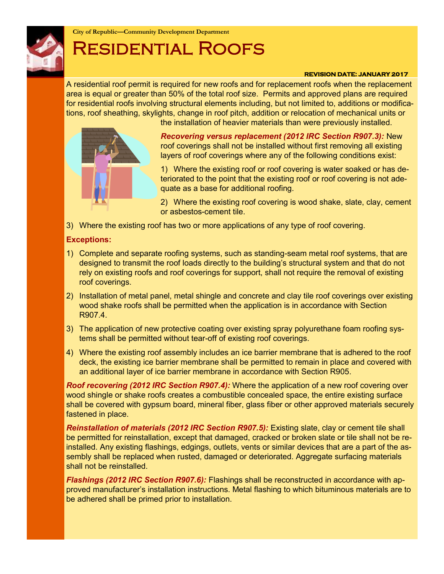

**City of Republic—Community Development Department**

# Residential Roofs

#### **REVISION DATE: JANUARY 2017**

A residential roof permit is required for new roofs and for replacement roofs when the replacement area is equal or greater than 50% of the total roof size. Permits and approved plans are required for residential roofs involving structural elements including, but not limited to, additions or modifications, roof sheathing, skylights, change in roof pitch, addition or relocation of mechanical units or



the installation of heavier materials than were previously installed.

*Recovering versus replacement (2012 IRC Section R907.3):* New roof coverings shall not be installed without first removing all existing layers of roof coverings where any of the following conditions exist:

1) Where the existing roof or roof covering is water soaked or has deteriorated to the point that the existing roof or roof covering is not adequate as a base for additional roofing.

2) Where the existing roof covering is wood shake, slate, clay, cement or asbestos-cement tile.

3) Where the existing roof has two or more applications of any type of roof covering.

## **Exceptions:**

- 1) Complete and separate roofing systems, such as standing-seam metal roof systems, that are designed to transmit the roof loads directly to the building's structural system and that do not rely on existing roofs and roof coverings for support, shall not require the removal of existing roof coverings.
- 2) Installation of metal panel, metal shingle and concrete and clay tile roof coverings over existing wood shake roofs shall be permitted when the application is in accordance with Section R907.4.
- 3) The application of new protective coating over existing spray polyurethane foam roofing systems shall be permitted without tear-off of existing roof coverings.
- 4) Where the existing roof assembly includes an ice barrier membrane that is adhered to the roof deck, the existing ice barrier membrane shall be permitted to remain in place and covered with an additional layer of ice barrier membrane in accordance with Section R905.

*Roof recovering (2012 IRC Section R907.4):* Where the application of a new roof covering over wood shingle or shake roofs creates a combustible concealed space, the entire existing surface shall be covered with gypsum board, mineral fiber, glass fiber or other approved materials securely fastened in place.

**Reinstallation of materials (2012 IRC Section R907.5):** Existing slate, clay or cement tile shall be permitted for reinstallation, except that damaged, cracked or broken slate or tile shall not be reinstalled. Any existing flashings, edgings, outlets, vents or similar devices that are a part of the assembly shall be replaced when rusted, damaged or deteriorated. Aggregate surfacing materials shall not be reinstalled.

*Flashings (2012 IRC Section R907.6):* Flashings shall be reconstructed in accordance with approved manufacturer's installation instructions. Metal flashing to which bituminous materials are to be adhered shall be primed prior to installation.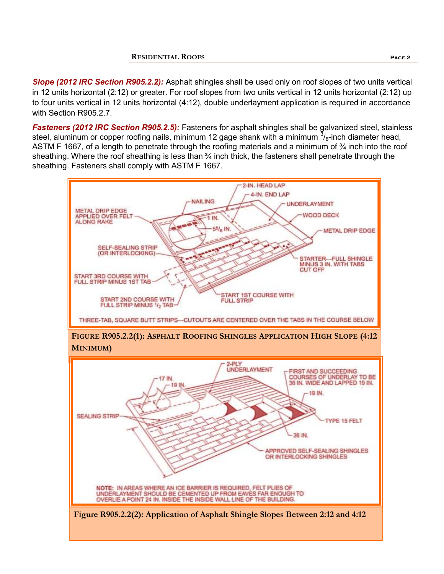*Slope (2012 IRC Section R905.2.2):* Asphalt shingles shall be used only on roof slopes of two units vertical in 12 units horizontal (2:12) or greater. For roof slopes from two units vertical in 12 units horizontal (2:12) up to four units vertical in 12 units horizontal (4:12), double underlayment application is required in accordance with Section R905.2.7.

*Fasteners (2012 IRC Section R905.2.5):* Fasteners for asphalt shingles shall be galvanized steel, stainless steel, aluminum or copper roofing nails, minimum 12 gage shank with a minimum  $\frac{3}{8}$ -inch diameter head, ASTM F 1667, of a length to penetrate through the roofing materials and a minimum of <sup>3</sup>/4 inch into the roof sheathing. Where the roof sheathing is less than 34 inch thick, the fasteners shall penetrate through the sheathing. Fasteners shall comply with ASTM F 1667.

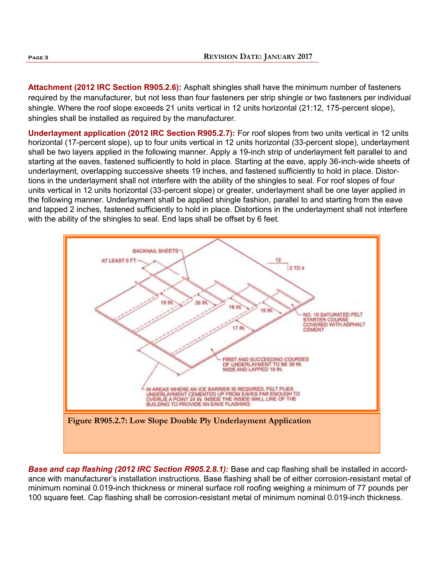**Attachment (2012 IRC Section R905.2.6):** Asphalt shingles shall have the minimum number of fasteners required by the manufacturer, but not less than four fasteners per strip shingle or two fasteners per individual shingle. Where the roof slope exceeds 21 units vertical in 12 units horizontal (21:12, 175-percent slope), shingles shall be installed as required by the manufacturer.

**Underlayment application (2012 IRC Section R905.2.7):** For roof slopes from two units vertical in 12 units horizontal (17-percent slope), up to four units vertical in 12 units horizontal (33-percent slope), underlayment shall be two layers applied in the following manner. Apply a 19-inch strip of underlayment felt parallel to and starting at the eaves, fastened sufficiently to hold in place. Starting at the eave, apply 36-inch-wide sheets of underlayment, overlapping successive sheets 19 inches, and fastened sufficiently to hold in place. Distortions in the underlayment shall not interfere with the ability of the shingles to seal. For roof slopes of four units vertical in 12 units horizontal (33-percent slope) or greater, underlayment shall be one layer applied in the following manner. Underlayment shall be applied shingle fashion, parallel to and starting from the eave and lapped 2 inches, fastened sufficiently to hold in place. Distortions in the underlayment shall not interfere with the ability of the shingles to seal. End laps shall be offset by 6 feet.



**Base and cap flashing (2012 IRC Section R905.2.8.1):** Base and cap flashing shall be installed in accordance with manufacturer's installation instructions. Base flashing shall be of either corrosion-resistant metal of minimum nominal 0.019-inch thickness or mineral surface roll roofing weighing a minimum of 77 pounds per 100 square feet. Cap flashing shall be corrosion-resistant metal of minimum nominal 0.019-inch thickness.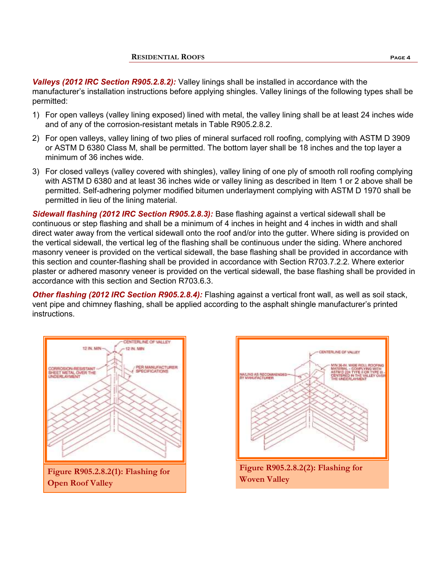*Valleys (2012 IRC Section R905.2.8.2):* Valley linings shall be installed in accordance with the manufacturer's installation instructions before applying shingles. Valley linings of the following types shall be permitted:

- 1) For open valleys (valley lining exposed) lined with metal, the valley lining shall be at least 24 inches wide and of any of the corrosion-resistant metals in Table R905.2.8.2.
- 2) For open valleys, valley lining of two plies of mineral surfaced roll roofing, complying with ASTM D 3909 or ASTM D 6380 Class M, shall be permitted. The bottom layer shall be 18 inches and the top layer a minimum of 36 inches wide.
- 3) For closed valleys (valley covered with shingles), valley lining of one ply of smooth roll roofing complying with ASTM D 6380 and at least 36 inches wide or valley lining as described in Item 1 or 2 above shall be permitted. Self-adhering polymer modified bitumen underlayment complying with ASTM D 1970 shall be permitted in lieu of the lining material.

*Sidewall flashing (2012 IRC Section R905.2.8.3):* Base flashing against a vertical sidewall shall be continuous or step flashing and shall be a minimum of 4 inches in height and 4 inches in width and shall direct water away from the vertical sidewall onto the roof and/or into the gutter. Where siding is provided on the vertical sidewall, the vertical leg of the flashing shall be continuous under the siding. Where anchored masonry veneer is provided on the vertical sidewall, the base flashing shall be provided in accordance with this section and counter-flashing shall be provided in accordance with Section R703.7.2.2. Where exterior plaster or adhered masonry veneer is provided on the vertical sidewall, the base flashing shall be provided in accordance with this section and Section R703.6.3.

*Other flashing (2012 IRC Section R905.2.8.4):* Flashing against a vertical front wall, as well as soil stack, vent pipe and chimney flashing, shall be applied according to the asphalt shingle manufacturer's printed instructions.



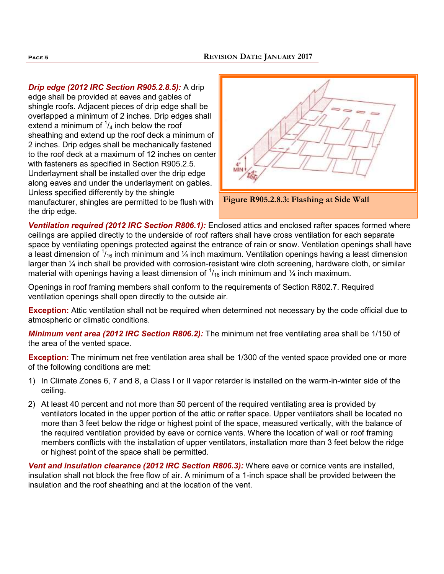*Drip edge (2012 IRC Section R905.2.8.5):* A drip edge shall be provided at eaves and gables of shingle roofs. Adjacent pieces of drip edge shall be overlapped a minimum of 2 inches. Drip edges shall extend a minimum of  $\frac{1}{4}$  inch below the roof sheathing and extend up the roof deck a minimum of 2 inches. Drip edges shall be mechanically fastened to the roof deck at a maximum of 12 inches on center with fasteners as specified in Section R905.2.5. Underlayment shall be installed over the drip edge along eaves and under the underlayment on gables. Unless specified differently by the shingle

manufacturer, shingles are permitted to be flush with the drip edge.





**Ventilation required (2012 IRC Section R806.1):** Enclosed attics and enclosed rafter spaces formed where ceilings are applied directly to the underside of roof rafters shall have cross ventilation for each separate space by ventilating openings protected against the entrance of rain or snow. Ventilation openings shall have a least dimension of  $\frac{1}{16}$  inch minimum and  $\frac{1}{4}$  inch maximum. Ventilation openings having a least dimension larger than  $\frac{1}{4}$  inch shall be provided with corrosion-resistant wire cloth screening, hardware cloth, or similar material with openings having a least dimension of  $1/16$  inch minimum and  $1/4$  inch maximum.

Openings in roof framing members shall conform to the requirements of Section R802.7. Required ventilation openings shall open directly to the outside air.

**Exception:** Attic ventilation shall not be required when determined not necessary by the code official due to atmospheric or climatic conditions.

*Minimum vent area (2012 IRC Section R806.2):* The minimum net free ventilating area shall be 1/150 of the area of the vented space.

**Exception:** The minimum net free ventilation area shall be 1/300 of the vented space provided one or more of the following conditions are met:

- 1) In Climate Zones 6, 7 and 8, a Class I or II vapor retarder is installed on the warm-in-winter side of the ceiling.
- 2) At least 40 percent and not more than 50 percent of the required ventilating area is provided by ventilators located in the upper portion of the attic or rafter space. Upper ventilators shall be located no more than 3 feet below the ridge or highest point of the space, measured vertically, with the balance of the required ventilation provided by eave or cornice vents. Where the location of wall or roof framing members conflicts with the installation of upper ventilators, installation more than 3 feet below the ridge or highest point of the space shall be permitted.

*Vent and insulation clearance (2012 IRC Section R806.3):* Where eave or cornice vents are installed, insulation shall not block the free flow of air. A minimum of a 1-inch space shall be provided between the insulation and the roof sheathing and at the location of the vent.